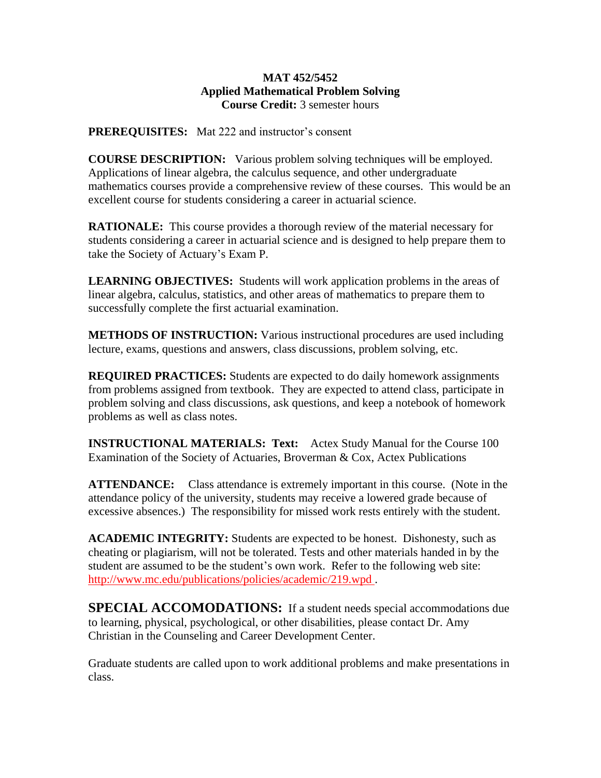## **MAT 452/5452 Applied Mathematical Problem Solving Course Credit:** 3 semester hours

**PREREQUISITES:** Mat 222 and instructor's consent

**COURSE DESCRIPTION:** Various problem solving techniques will be employed. Applications of linear algebra, the calculus sequence, and other undergraduate mathematics courses provide a comprehensive review of these courses. This would be an excellent course for students considering a career in actuarial science.

**RATIONALE:** This course provides a thorough review of the material necessary for students considering a career in actuarial science and is designed to help prepare them to take the Society of Actuary's Exam P.

**LEARNING OBJECTIVES:** Students will work application problems in the areas of linear algebra, calculus, statistics, and other areas of mathematics to prepare them to successfully complete the first actuarial examination.

**METHODS OF INSTRUCTION:** Various instructional procedures are used including lecture, exams, questions and answers, class discussions, problem solving, etc.

**REQUIRED PRACTICES:** Students are expected to do daily homework assignments from problems assigned from textbook. They are expected to attend class, participate in problem solving and class discussions, ask questions, and keep a notebook of homework problems as well as class notes.

**INSTRUCTIONAL MATERIALS: Text:**Actex Study Manual for the Course 100 Examination of the Society of Actuaries, Broverman & Cox, Actex Publications

**ATTENDANCE:**Class attendance is extremely important in this course. (Note in the attendance policy of the university, students may receive a lowered grade because of excessive absences.) The responsibility for missed work rests entirely with the student.

**ACADEMIC INTEGRITY:** Students are expected to be honest. Dishonesty, such as cheating or plagiarism, will not be tolerated. Tests and other materials handed in by the student are assumed to be the student's own work. Refer to the following web site: http://www.mc.edu/publications/policies/academic/219.wpd .

**SPECIAL ACCOMODATIONS:** If a student needs special accommodations due to learning, physical, psychological, or other disabilities, please contact Dr. Amy Christian in the Counseling and Career Development Center.

Graduate students are called upon to work additional problems and make presentations in class.